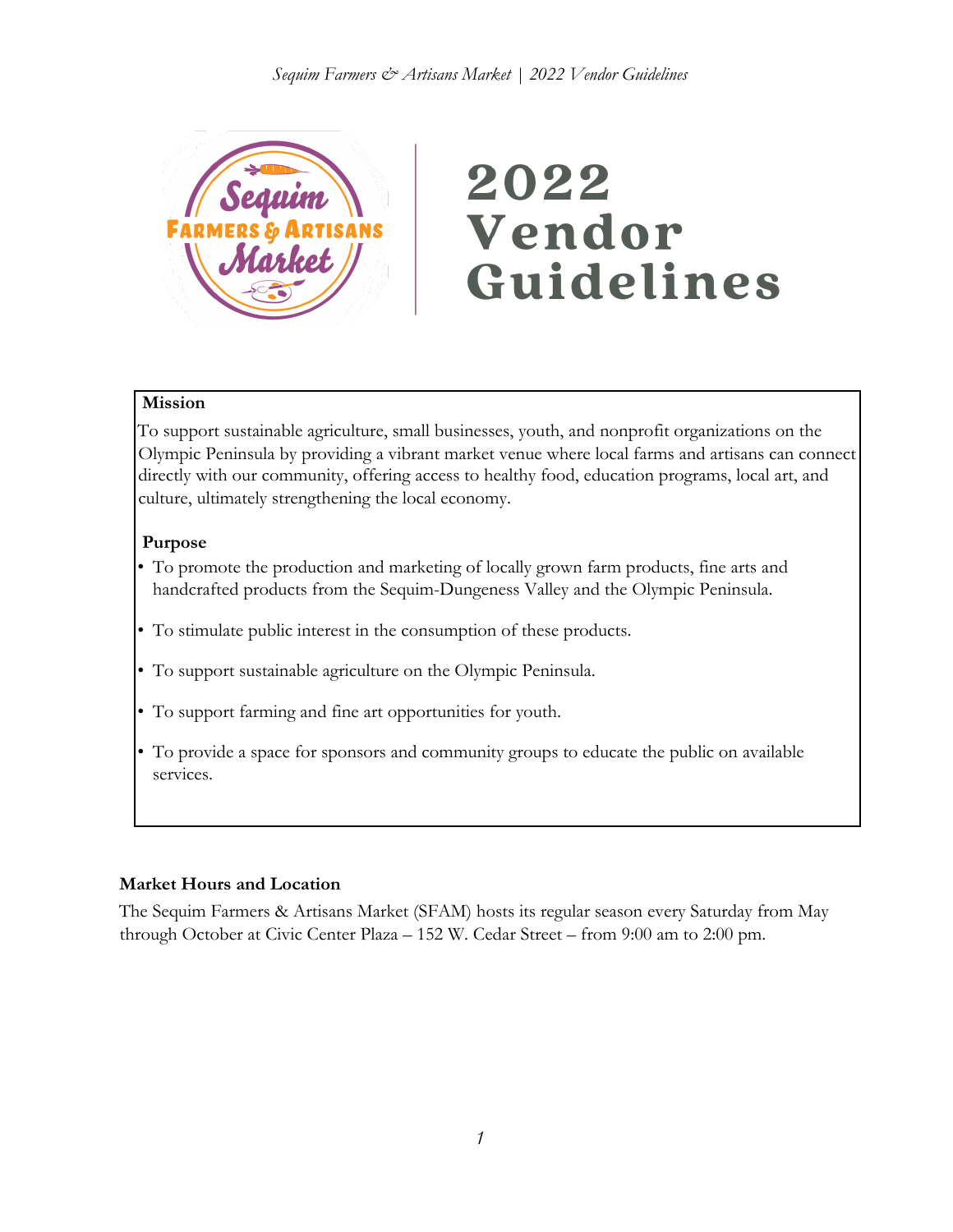

# 2022 Vendor Guidelines

## **Mission**

To support sustainable agriculture, small businesses, youth, and nonprofit organizations on the Olympic Peninsula by providing a vibrant market venue where local farms and artisans can connect directly with our community, offering access to healthy food, education programs, local art, and culture, ultimately strengthening the local economy.

## **Purpose**

- To promote the production and marketing of locally grown farm products, fine arts and handcrafted products from the Sequim-Dungeness Valley and the Olympic Peninsula.
- To stimulate public interest in the consumption of these products.
- To support sustainable agriculture on the Olympic Peninsula.
- To support farming and fine art opportunities for youth.
- To provide a space for sponsors and community groups to educate the public on available services.

# **Market Hours and Location**

The Sequim Farmers & Artisans Market (SFAM) hosts its regular season every Saturday from May through October at Civic Center Plaza – 152 W. Cedar Street – from 9:00 am to 2:00 pm.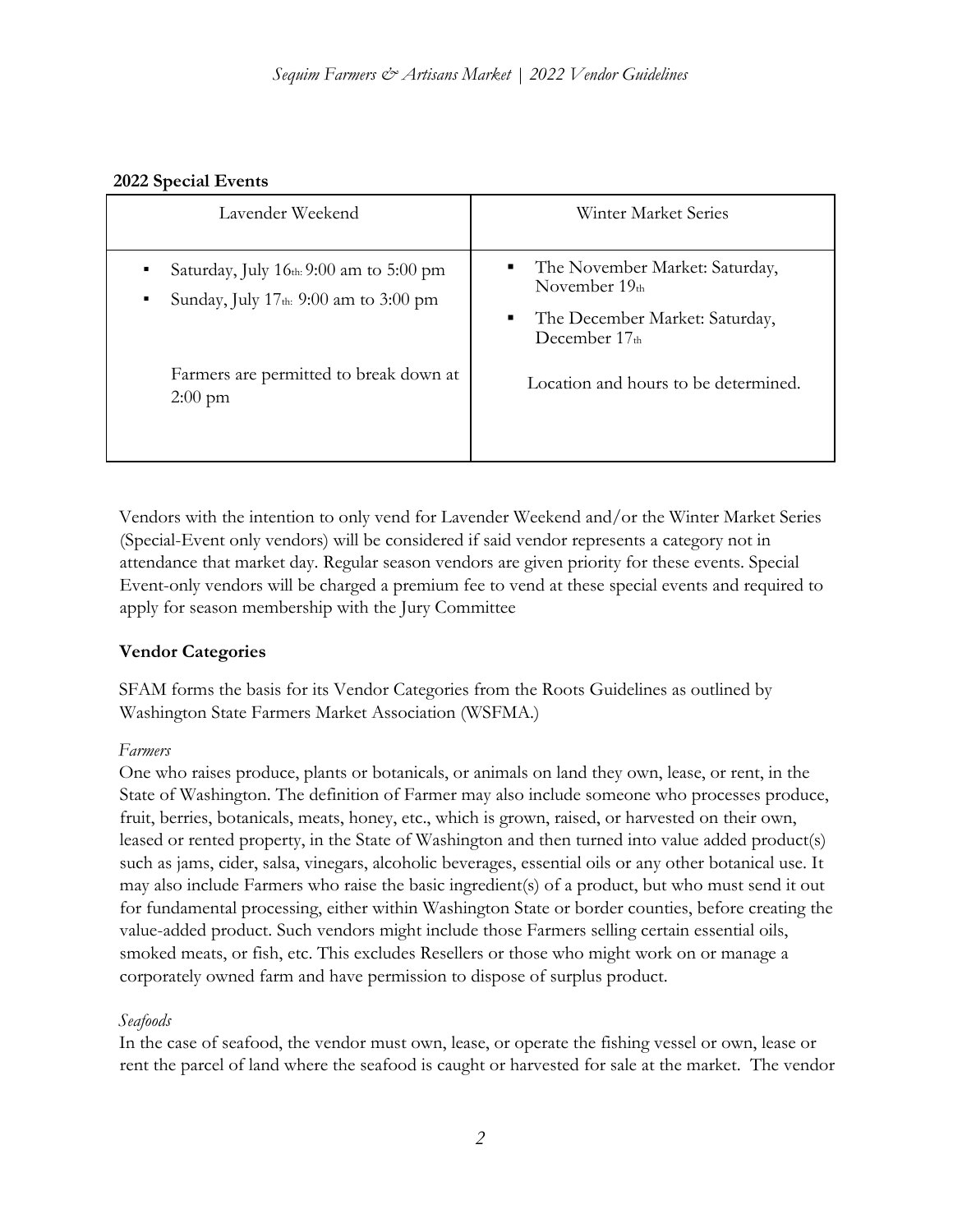## **2022 Special Events**

| Lavender Weekend                                                                                           | Winter Market Series                                                                                           |
|------------------------------------------------------------------------------------------------------------|----------------------------------------------------------------------------------------------------------------|
| Saturday, July $16th$ : 9:00 am to 5:00 pm<br>٠<br>Sunday, July 17th: 9:00 am to 3:00 pm<br>$\blacksquare$ | The November Market: Saturday,<br>٠<br>November $19th$<br>The December Market: Saturday,<br>п<br>December 17th |
| Farmers are permitted to break down at<br>$2:00 \text{ pm}$                                                | Location and hours to be determined.                                                                           |

Vendors with the intention to only vend for Lavender Weekend and/or the Winter Market Series (Special-Event only vendors) will be considered if said vendor represents a category not in attendance that market day. Regular season vendors are given priority for these events. Special Event-only vendors will be charged a premium fee to vend at these special events and required to apply for season membership with the Jury Committee

# **Vendor Categories**

SFAM forms the basis for its Vendor Categories from the Roots Guidelines as outlined by Washington State Farmers Market Association (WSFMA.)

#### *Farmers*

One who raises produce, plants or botanicals, or animals on land they own, lease, or rent, in the State of Washington. The definition of Farmer may also include someone who processes produce, fruit, berries, botanicals, meats, honey, etc., which is grown, raised, or harvested on their own, leased or rented property, in the State of Washington and then turned into value added product(s) such as jams, cider, salsa, vinegars, alcoholic beverages, essential oils or any other botanical use. It may also include Farmers who raise the basic ingredient(s) of a product, but who must send it out for fundamental processing, either within Washington State or border counties, before creating the value-added product. Such vendors might include those Farmers selling certain essential oils, smoked meats, or fish, etc. This excludes Resellers or those who might work on or manage a corporately owned farm and have permission to dispose of surplus product.

# *Seafoods*

In the case of seafood, the vendor must own, lease, or operate the fishing vessel or own, lease or rent the parcel of land where the seafood is caught or harvested for sale at the market. The vendor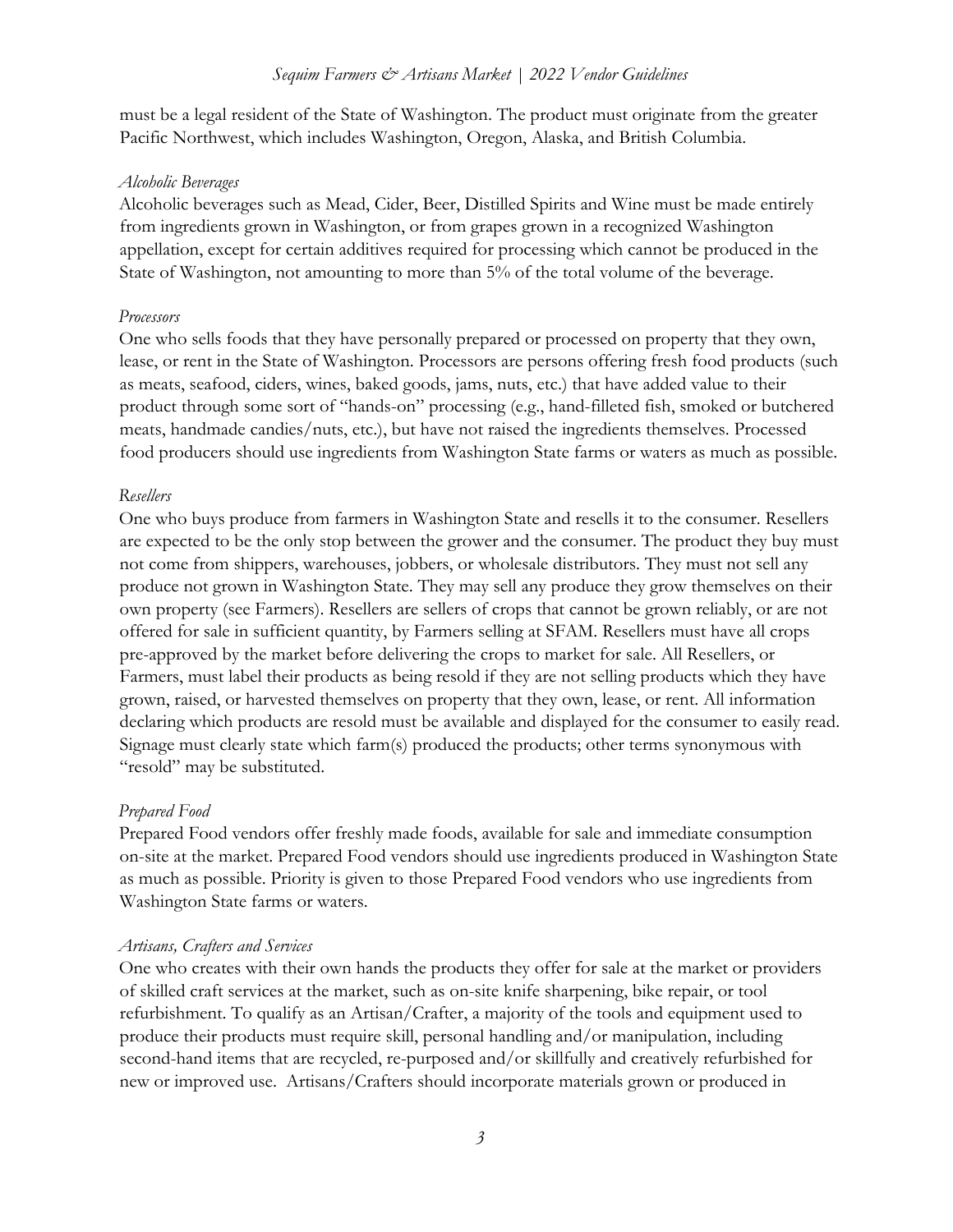must be a legal resident of the State of Washington. The product must originate from the greater Pacific Northwest, which includes Washington, Oregon, Alaska, and British Columbia.

#### *Alcoholic Beverages*

Alcoholic beverages such as Mead, Cider, Beer, Distilled Spirits and Wine must be made entirely from ingredients grown in Washington, or from grapes grown in a recognized Washington appellation, except for certain additives required for processing which cannot be produced in the State of Washington, not amounting to more than 5% of the total volume of the beverage.

#### *Processors*

One who sells foods that they have personally prepared or processed on property that they own, lease, or rent in the State of Washington. Processors are persons offering fresh food products (such as meats, seafood, ciders, wines, baked goods, jams, nuts, etc.) that have added value to their product through some sort of "hands-on" processing (e.g., hand-filleted fish, smoked or butchered meats, handmade candies/nuts, etc.), but have not raised the ingredients themselves. Processed food producers should use ingredients from Washington State farms or waters as much as possible.

#### *Resellers*

One who buys produce from farmers in Washington State and resells it to the consumer. Resellers are expected to be the only stop between the grower and the consumer. The product they buy must not come from shippers, warehouses, jobbers, or wholesale distributors. They must not sell any produce not grown in Washington State. They may sell any produce they grow themselves on their own property (see Farmers). Resellers are sellers of crops that cannot be grown reliably, or are not offered for sale in sufficient quantity, by Farmers selling at SFAM. Resellers must have all crops pre-approved by the market before delivering the crops to market for sale. All Resellers, or Farmers, must label their products as being resold if they are not selling products which they have grown, raised, or harvested themselves on property that they own, lease, or rent. All information declaring which products are resold must be available and displayed for the consumer to easily read. Signage must clearly state which farm(s) produced the products; other terms synonymous with "resold" may be substituted.

#### *Prepared Food*

Prepared Food vendors offer freshly made foods, available for sale and immediate consumption on-site at the market. Prepared Food vendors should use ingredients produced in Washington State as much as possible. Priority is given to those Prepared Food vendors who use ingredients from Washington State farms or waters.

#### *Artisans, Crafters and Services*

One who creates with their own hands the products they offer for sale at the market or providers of skilled craft services at the market, such as on-site knife sharpening, bike repair, or tool refurbishment. To qualify as an Artisan/Crafter, a majority of the tools and equipment used to produce their products must require skill, personal handling and/or manipulation, including second-hand items that are recycled, re-purposed and/or skillfully and creatively refurbished for new or improved use. Artisans/Crafters should incorporate materials grown or produced in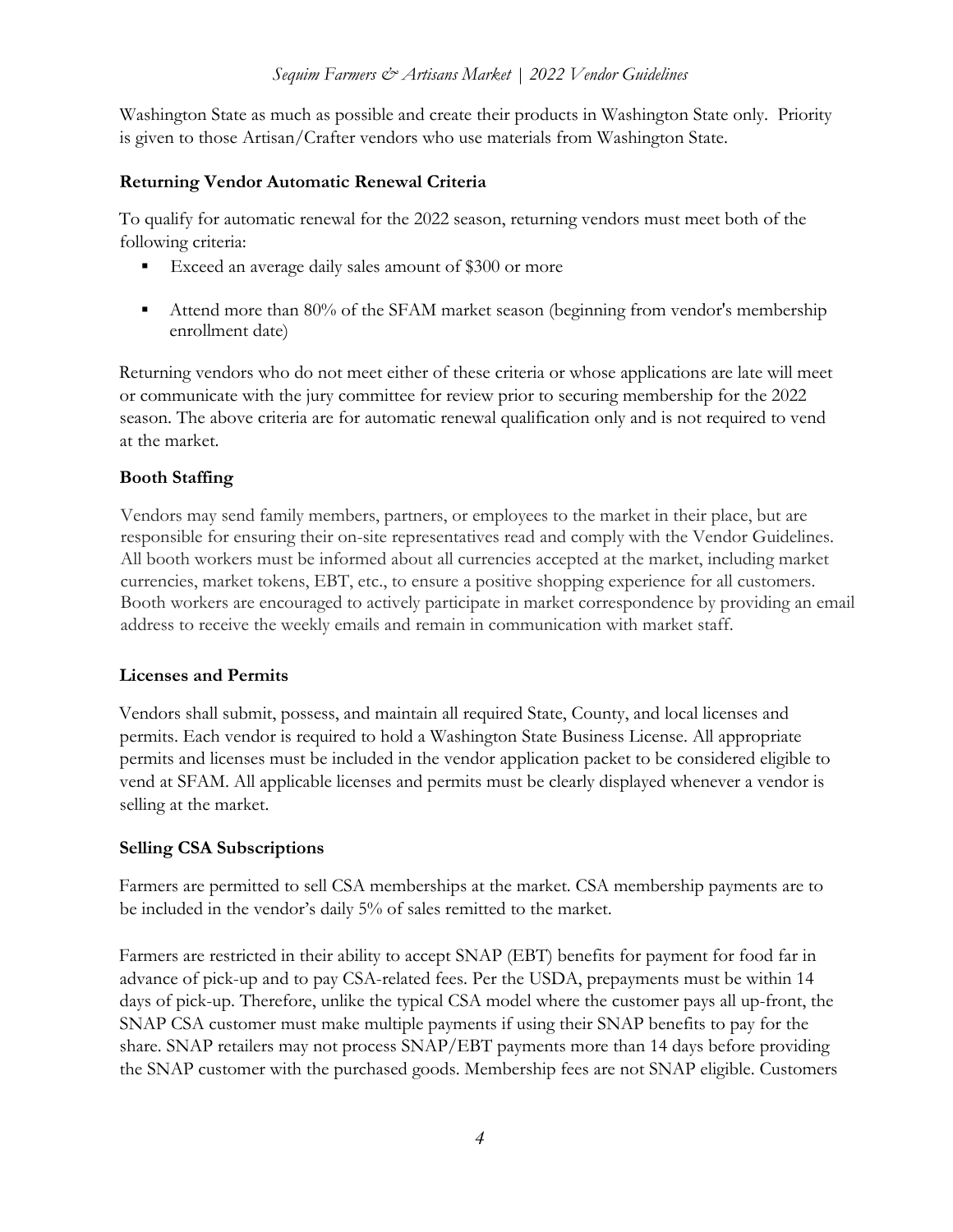Washington State as much as possible and create their products in Washington State only. Priority is given to those Artisan/Crafter vendors who use materials from Washington State.

## **Returning Vendor Automatic Renewal Criteria**

To qualify for automatic renewal for the 2022 season, returning vendors must meet both of the following criteria:

- Exceed an average daily sales amount of \$300 or more
- Attend more than 80% of the SFAM market season (beginning from vendor's membership enrollment date)

Returning vendors who do not meet either of these criteria or whose applications are late will meet or communicate with the jury committee for review prior to securing membership for the 2022 season. The above criteria are for automatic renewal qualification only and is not required to vend at the market.

## **Booth Staffing**

Vendors may send family members, partners, or employees to the market in their place, but are responsible for ensuring their on-site representatives read and comply with the Vendor Guidelines. All booth workers must be informed about all currencies accepted at the market, including market currencies, market tokens, EBT, etc., to ensure a positive shopping experience for all customers. Booth workers are encouraged to actively participate in market correspondence by providing an email address to receive the weekly emails and remain in communication with market staff.

#### **Licenses and Permits**

Vendors shall submit, possess, and maintain all required State, County, and local licenses and permits. Each vendor is required to hold a Washington State Business License. All appropriate permits and licenses must be included in the vendor application packet to be considered eligible to vend at SFAM. All applicable licenses and permits must be clearly displayed whenever a vendor is selling at the market.

#### **Selling CSA Subscriptions**

Farmers are permitted to sell CSA memberships at the market. CSA membership payments are to be included in the vendor's daily 5% of sales remitted to the market.

Farmers are restricted in their ability to accept SNAP (EBT) benefits for payment for food far in advance of pick-up and to pay CSA-related fees. Per the USDA, prepayments must be within 14 days of pick-up. Therefore, unlike the typical CSA model where the customer pays all up-front, the SNAP CSA customer must make multiple payments if using their SNAP benefits to pay for the share. SNAP retailers may not process SNAP/EBT payments more than 14 days before providing the SNAP customer with the purchased goods. Membership fees are not SNAP eligible. Customers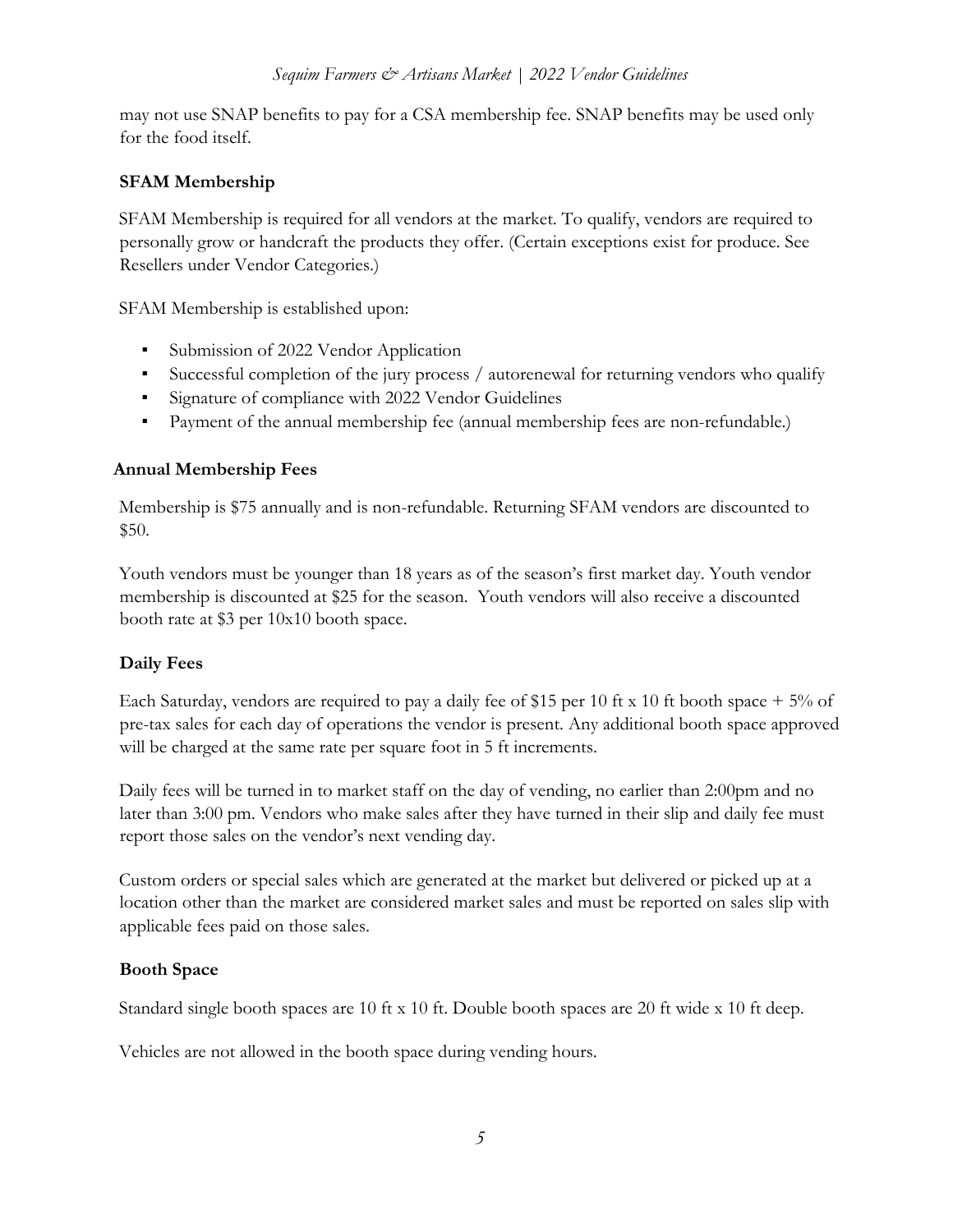may not use SNAP benefits to pay for a CSA membership fee. SNAP benefits may be used only for the food itself.

# **SFAM Membership**

SFAM Membership is required for all vendors at the market. To qualify, vendors are required to personally grow or handcraft the products they offer. (Certain exceptions exist for produce. See Resellers under Vendor Categories.)

SFAM Membership is established upon:

- Submission of 2022 Vendor Application
- Successful completion of the jury process / autorenewal for returning vendors who qualify
- Signature of compliance with 2022 Vendor Guidelines
- Payment of the annual membership fee (annual membership fees are non-refundable.)

## **Annual Membership Fees**

Membership is \$75 annually and is non-refundable. Returning SFAM vendors are discounted to \$50.

Youth vendors must be younger than 18 years as of the season's first market day. Youth vendor membership is discounted at \$25 for the season. Youth vendors will also receive a discounted booth rate at \$3 per 10x10 booth space.

# **Daily Fees**

Each Saturday, vendors are required to pay a daily fee of \$15 per 10 ft x 10 ft booth space  $+ 5\%$  of pre-tax sales for each day of operations the vendor is present. Any additional booth space approved will be charged at the same rate per square foot in 5 ft increments.

Daily fees will be turned in to market staff on the day of vending, no earlier than 2:00pm and no later than 3:00 pm. Vendors who make sales after they have turned in their slip and daily fee must report those sales on the vendor's next vending day.

Custom orders or special sales which are generated at the market but delivered or picked up at a location other than the market are considered market sales and must be reported on sales slip with applicable fees paid on those sales.

# **Booth Space**

Standard single booth spaces are 10 ft x 10 ft. Double booth spaces are 20 ft wide x 10 ft deep.

Vehicles are not allowed in the booth space during vending hours.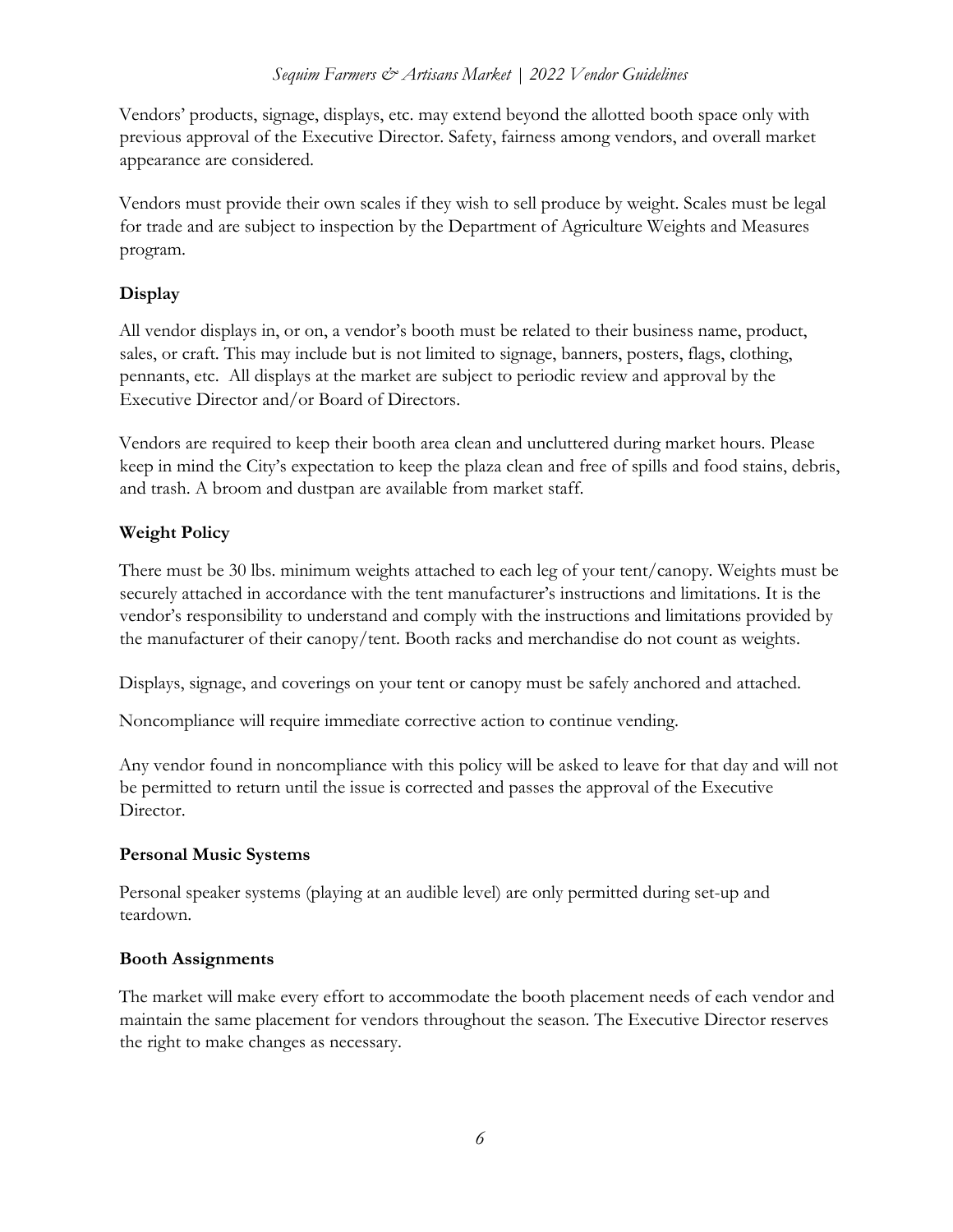#### *Sequim Farmers & Artisans Market | 2022 Vendor Guidelines*

Vendors' products, signage, displays, etc. may extend beyond the allotted booth space only with previous approval of the Executive Director. Safety, fairness among vendors, and overall market appearance are considered.

Vendors must provide their own scales if they wish to sell produce by weight. Scales must be legal for trade and are subject to inspection by the Department of Agriculture Weights and Measures program.

## **Display**

All vendor displays in, or on, a vendor's booth must be related to their business name, product, sales, or craft. This may include but is not limited to signage, banners, posters, flags, clothing, pennants, etc. All displays at the market are subject to periodic review and approval by the Executive Director and/or Board of Directors.

Vendors are required to keep their booth area clean and uncluttered during market hours. Please keep in mind the City's expectation to keep the plaza clean and free of spills and food stains, debris, and trash. A broom and dustpan are available from market staff.

# **Weight Policy**

There must be 30 lbs. minimum weights attached to each leg of your tent/canopy. Weights must be securely attached in accordance with the tent manufacturer's instructions and limitations. It is the vendor's responsibility to understand and comply with the instructions and limitations provided by the manufacturer of their canopy/tent. Booth racks and merchandise do not count as weights.

Displays, signage, and coverings on your tent or canopy must be safely anchored and attached.

Noncompliance will require immediate corrective action to continue vending.

Any vendor found in noncompliance with this policy will be asked to leave for that day and will not be permitted to return until the issue is corrected and passes the approval of the Executive Director.

#### **Personal Music Systems**

Personal speaker systems (playing at an audible level) are only permitted during set-up and teardown.

#### **Booth Assignments**

The market will make every effort to accommodate the booth placement needs of each vendor and maintain the same placement for vendors throughout the season. The Executive Director reserves the right to make changes as necessary.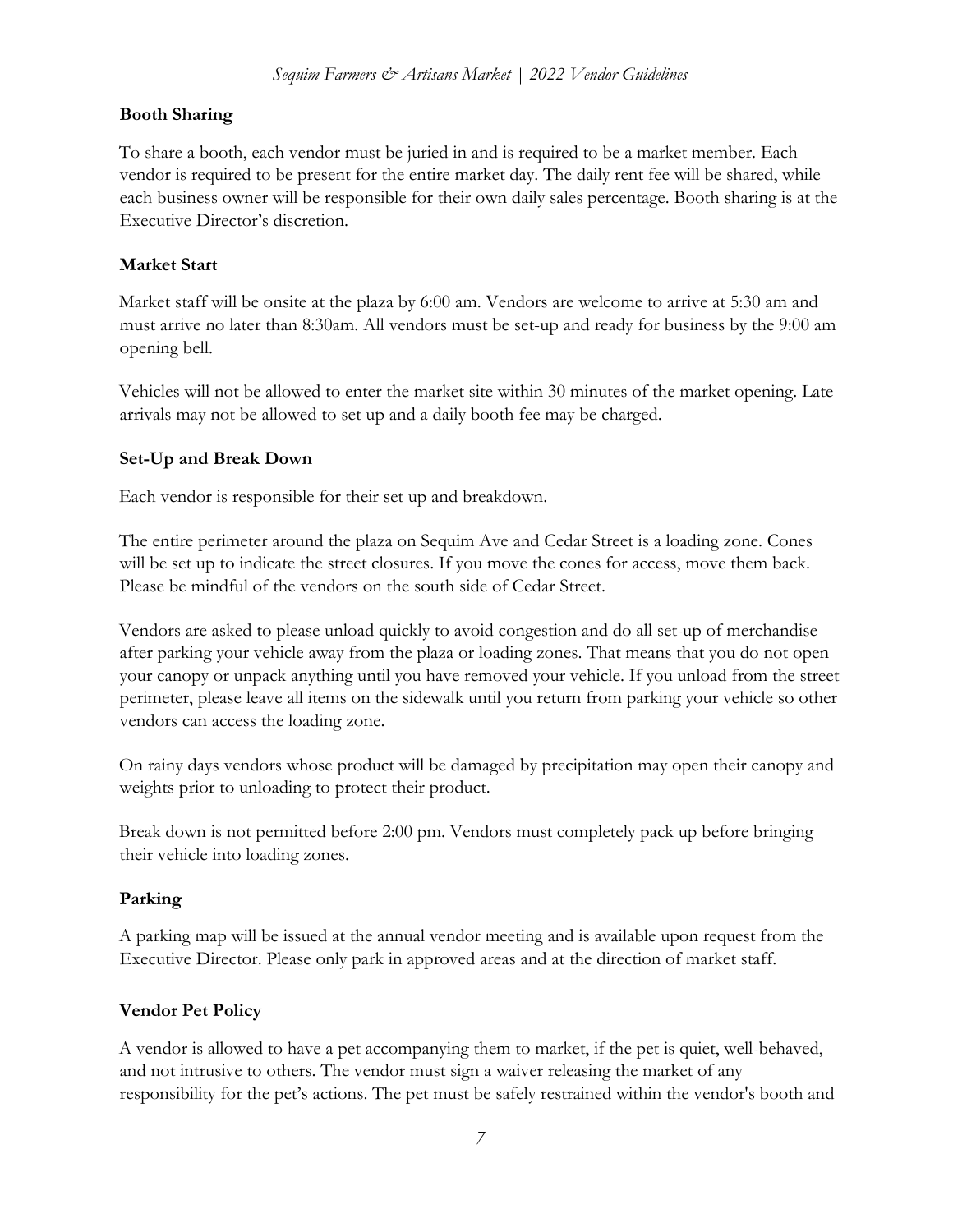## **Booth Sharing**

To share a booth, each vendor must be juried in and is required to be a market member. Each vendor is required to be present for the entire market day. The daily rent fee will be shared, while each business owner will be responsible for their own daily sales percentage. Booth sharing is at the Executive Director's discretion.

## **Market Start**

Market staff will be onsite at the plaza by 6:00 am. Vendors are welcome to arrive at 5:30 am and must arrive no later than 8:30am. All vendors must be set-up and ready for business by the 9:00 am opening bell.

Vehicles will not be allowed to enter the market site within 30 minutes of the market opening. Late arrivals may not be allowed to set up and a daily booth fee may be charged.

## **Set-Up and Break Down**

Each vendor is responsible for their set up and breakdown.

The entire perimeter around the plaza on Sequim Ave and Cedar Street is a loading zone. Cones will be set up to indicate the street closures. If you move the cones for access, move them back. Please be mindful of the vendors on the south side of Cedar Street.

Vendors are asked to please unload quickly to avoid congestion and do all set-up of merchandise after parking your vehicle away from the plaza or loading zones. That means that you do not open your canopy or unpack anything until you have removed your vehicle. If you unload from the street perimeter, please leave all items on the sidewalk until you return from parking your vehicle so other vendors can access the loading zone.

On rainy days vendors whose product will be damaged by precipitation may open their canopy and weights prior to unloading to protect their product.

Break down is not permitted before 2:00 pm. Vendors must completely pack up before bringing their vehicle into loading zones.

# **Parking**

A parking map will be issued at the annual vendor meeting and is available upon request from the Executive Director. Please only park in approved areas and at the direction of market staff.

# **Vendor Pet Policy**

A vendor is allowed to have a pet accompanying them to market, if the pet is quiet, well-behaved, and not intrusive to others. The vendor must sign a waiver releasing the market of any responsibility for the pet's actions. The pet must be safely restrained within the vendor's booth and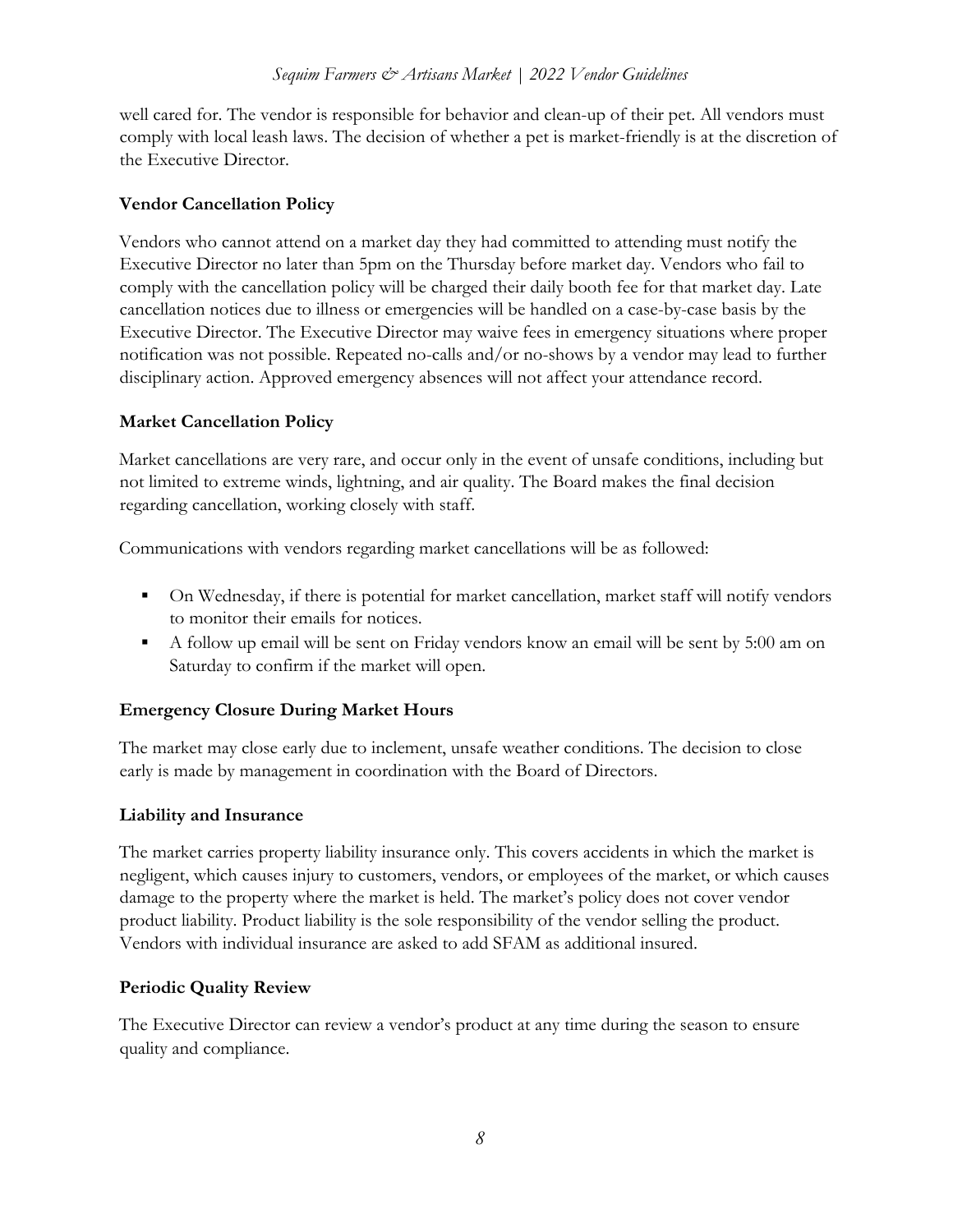well cared for. The vendor is responsible for behavior and clean-up of their pet. All vendors must comply with local leash laws. The decision of whether a pet is market-friendly is at the discretion of the Executive Director.

### **Vendor Cancellation Policy**

Vendors who cannot attend on a market day they had committed to attending must notify the Executive Director no later than 5pm on the Thursday before market day. Vendors who fail to comply with the cancellation policy will be charged their daily booth fee for that market day. Late cancellation notices due to illness or emergencies will be handled on a case-by-case basis by the Executive Director. The Executive Director may waive fees in emergency situations where proper notification was not possible. Repeated no-calls and/or no-shows by a vendor may lead to further disciplinary action. Approved emergency absences will not affect your attendance record.

## **Market Cancellation Policy**

Market cancellations are very rare, and occur only in the event of unsafe conditions, including but not limited to extreme winds, lightning, and air quality. The Board makes the final decision regarding cancellation, working closely with staff.

Communications with vendors regarding market cancellations will be as followed:

- On Wednesday, if there is potential for market cancellation, market staff will notify vendors to monitor their emails for notices.
- A follow up email will be sent on Friday vendors know an email will be sent by 5:00 am on Saturday to confirm if the market will open.

# **Emergency Closure During Market Hours**

The market may close early due to inclement, unsafe weather conditions. The decision to close early is made by management in coordination with the Board of Directors.

#### **Liability and Insurance**

The market carries property liability insurance only. This covers accidents in which the market is negligent, which causes injury to customers, vendors, or employees of the market, or which causes damage to the property where the market is held. The market's policy does not cover vendor product liability. Product liability is the sole responsibility of the vendor selling the product. Vendors with individual insurance are asked to add SFAM as additional insured.

#### **Periodic Quality Review**

The Executive Director can review a vendor's product at any time during the season to ensure quality and compliance.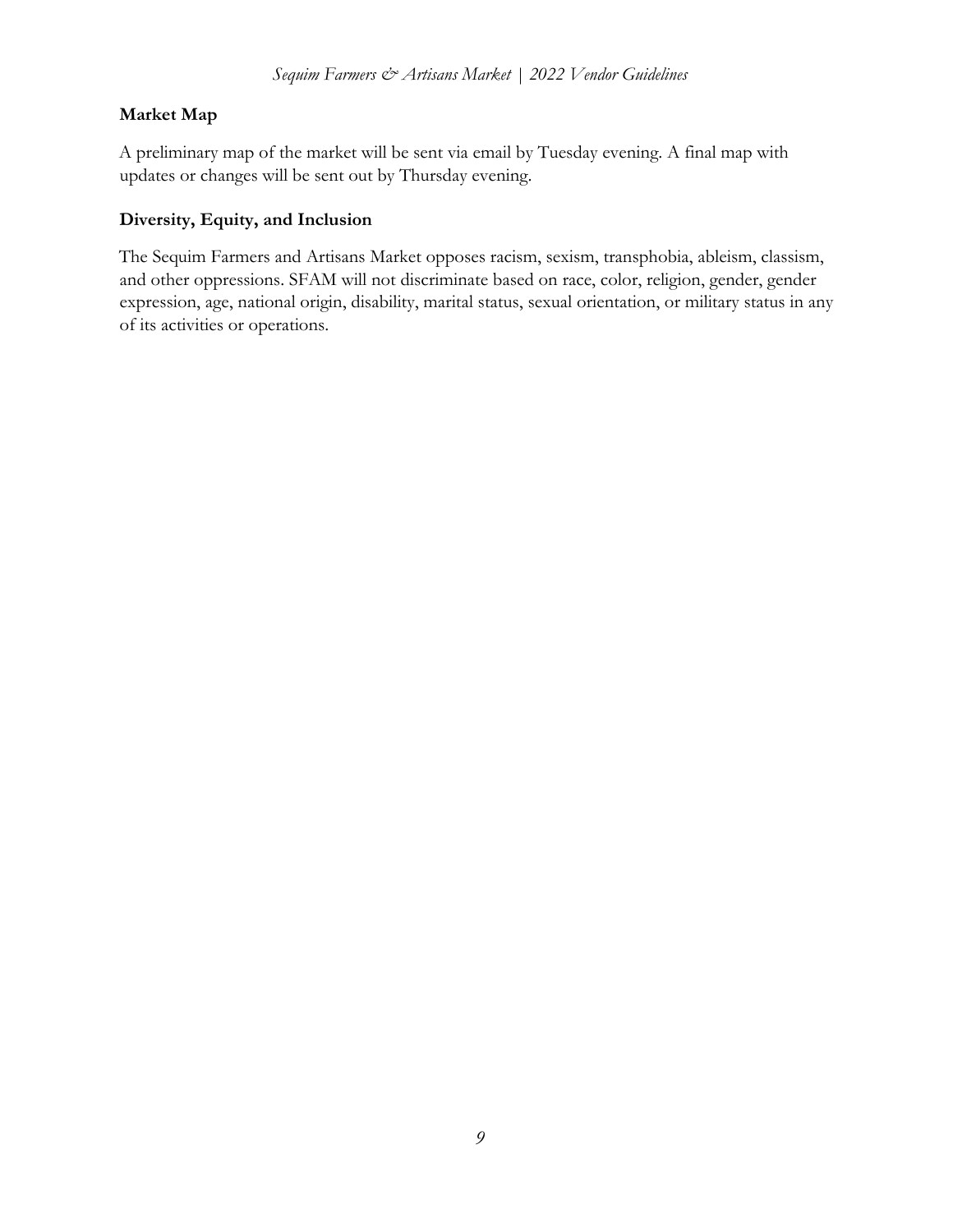# **Market Map**

A preliminary map of the market will be sent via email by Tuesday evening. A final map with updates or changes will be sent out by Thursday evening.

## **Diversity, Equity, and Inclusion**

The Sequim Farmers and Artisans Market opposes racism, sexism, transphobia, ableism, classism, and other oppressions. SFAM will not discriminate based on race, color, religion, gender, gender expression, age, national origin, disability, marital status, sexual orientation, or military status in any of its activities or operations.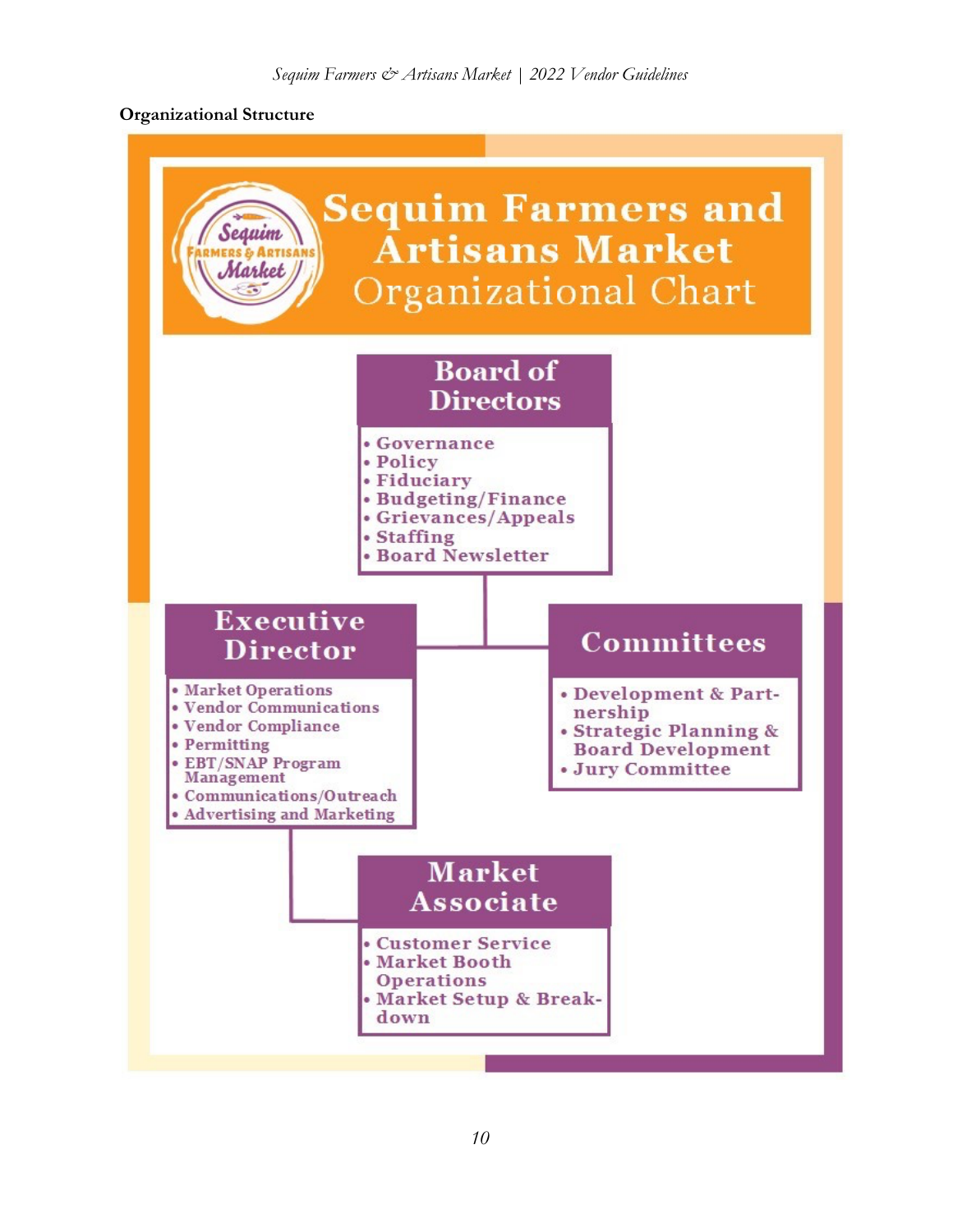## **Organizational Structure**

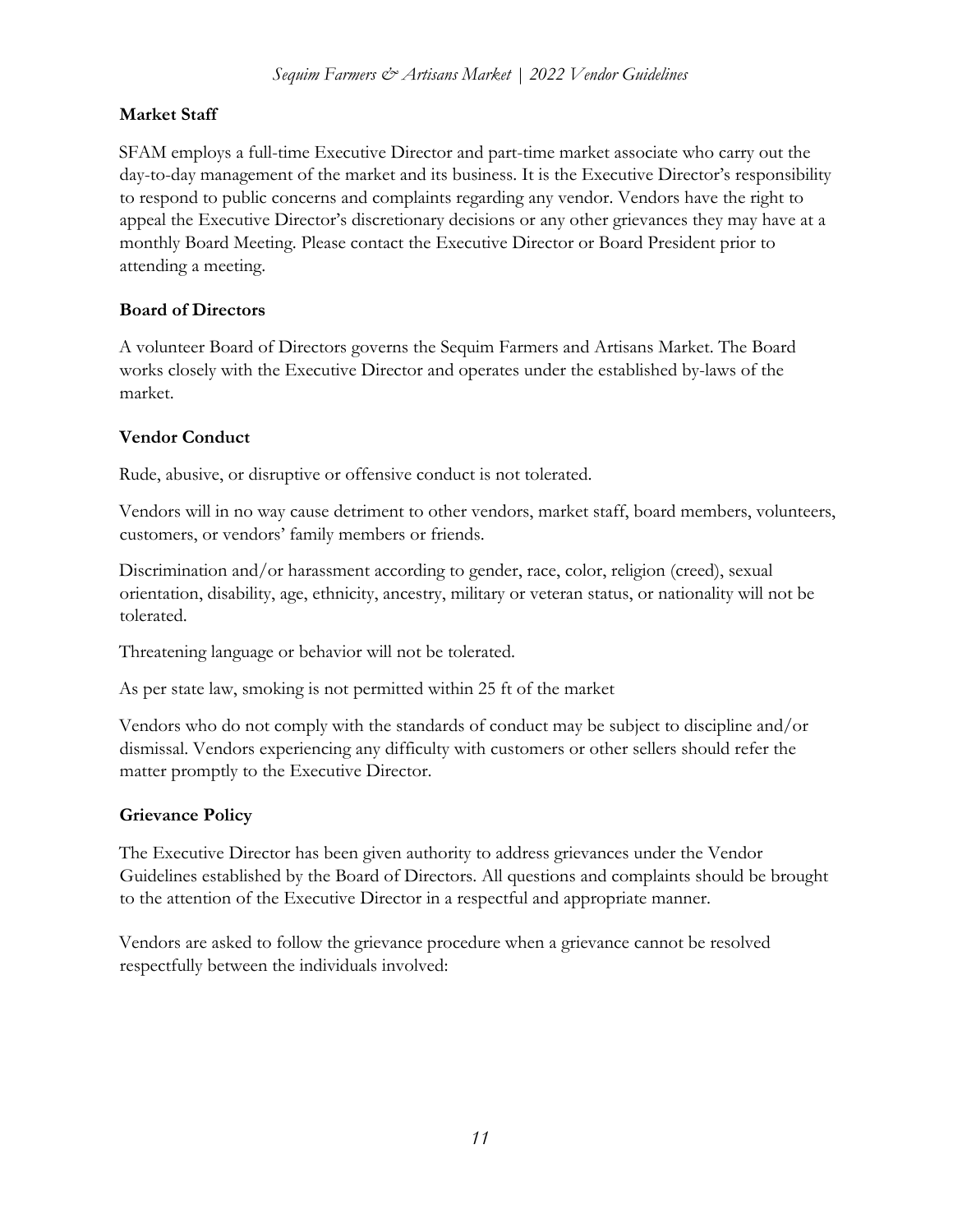# **Market Staff**

SFAM employs a full-time Executive Director and part-time market associate who carry out the day-to-day management of the market and its business. It is the Executive Director's responsibility to respond to public concerns and complaints regarding any vendor. Vendors have the right to appeal the Executive Director's discretionary decisions or any other grievances they may have at a monthly Board Meeting. Please contact the Executive Director or Board President prior to attending a meeting.

# **Board of Directors**

A volunteer Board of Directors governs the Sequim Farmers and Artisans Market. The Board works closely with the Executive Director and operates under the established by-laws of the market.

## **Vendor Conduct**

Rude, abusive, or disruptive or offensive conduct is not tolerated.

Vendors will in no way cause detriment to other vendors, market staff, board members, volunteers, customers, or vendors' family members or friends.

Discrimination and/or harassment according to gender, race, color, religion (creed), sexual orientation, disability, age, ethnicity, ancestry, military or veteran status, or nationality will not be tolerated.

Threatening language or behavior will not be tolerated.

As per state law, smoking is not permitted within 25 ft of the market

Vendors who do not comply with the standards of conduct may be subject to discipline and/or dismissal. Vendors experiencing any difficulty with customers or other sellers should refer the matter promptly to the Executive Director.

# **Grievance Policy**

The Executive Director has been given authority to address grievances under the Vendor Guidelines established by the Board of Directors. All questions and complaints should be brought to the attention of the Executive Director in a respectful and appropriate manner.

Vendors are asked to follow the grievance procedure when a grievance cannot be resolved respectfully between the individuals involved: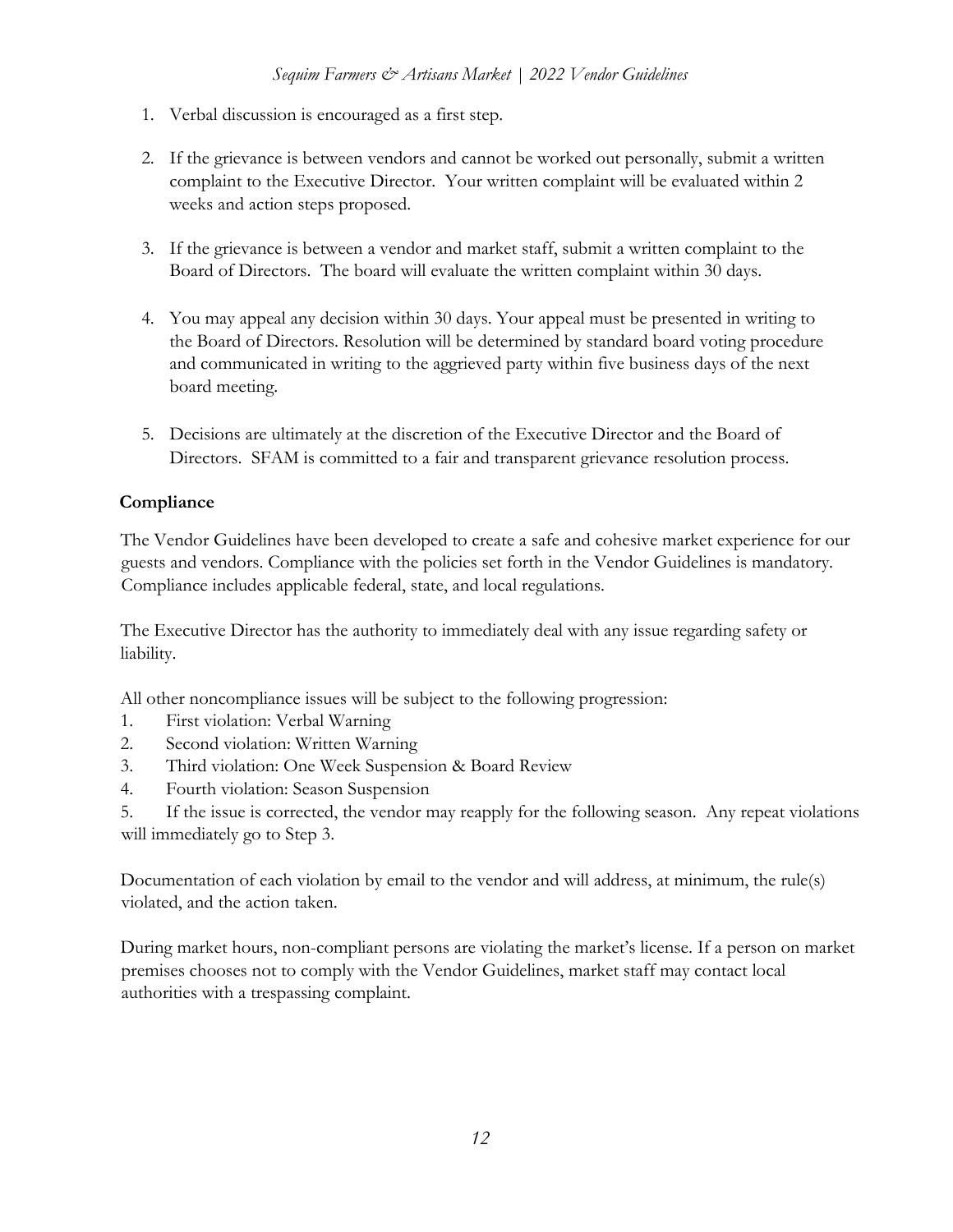- 1. Verbal discussion is encouraged as a first step.
- 2. If the grievance is between vendors and cannot be worked out personally, submit a written complaint to the Executive Director. Your written complaint will be evaluated within 2 weeks and action steps proposed.
- 3. If the grievance is between a vendor and market staff, submit a written complaint to the Board of Directors. The board will evaluate the written complaint within 30 days.
- 4. You may appeal any decision within 30 days. Your appeal must be presented in writing to the Board of Directors. Resolution will be determined by standard board voting procedure and communicated in writing to the aggrieved party within five business days of the next board meeting.
- 5. Decisions are ultimately at the discretion of the Executive Director and the Board of Directors. SFAM is committed to a fair and transparent grievance resolution process.

# **Compliance**

The Vendor Guidelines have been developed to create a safe and cohesive market experience for our guests and vendors. Compliance with the policies set forth in the Vendor Guidelines is mandatory. Compliance includes applicable federal, state, and local regulations.

The Executive Director has the authority to immediately deal with any issue regarding safety or liability.

All other noncompliance issues will be subject to the following progression:

- 1. First violation: Verbal Warning
- 2. Second violation: Written Warning
- 3. Third violation: One Week Suspension & Board Review
- 4. Fourth violation: Season Suspension

5. If the issue is corrected, the vendor may reapply for the following season. Any repeat violations will immediately go to Step 3.

Documentation of each violation by email to the vendor and will address, at minimum, the rule(s) violated, and the action taken.

During market hours, non-compliant persons are violating the market's license. If a person on market premises chooses not to comply with the Vendor Guidelines, market staff may contact local authorities with a trespassing complaint.